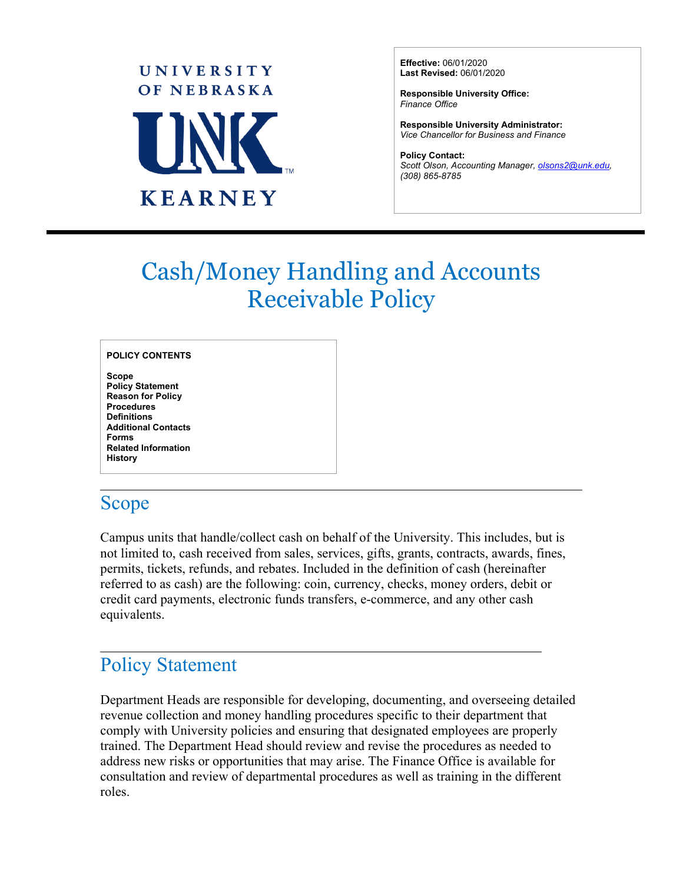

**Effective:** 06/01/2020 **Last Revised:** 06/01/2020

**Responsible University Office:** *Finance Office* 

**Responsible University Administrator:**  *Vice Chancellor for Business and Finance*

**Policy Contact:** *Scott Olson, Accounting Manager[, olsons2@unk.edu,](mailto:olsons2@unk.edu) (308) 865-8785*

# Cash/Money Handling and Accounts Receivable Policy

**Scope Policy Statement Reason for Policy Procedures Definitions Additional Contacts Forms Related Information History** 

#### Scope

 $\overline{a}$ 

 $\overline{a}$ 

Campus units that handle/collect cash on behalf of the University. This includes, but is not limited to, cash received from sales, services, gifts, grants, contracts, awards, fines, permits, tickets, refunds, and rebates. Included in the definition of cash (hereinafter referred to as cash) are the following: coin, currency, checks, money orders, debit or credit card payments, electronic funds transfers, e-commerce, and any other cash equivalents.

# Policy Statement

Department Heads are responsible for developing, documenting, and overseeing detailed revenue collection and money handling procedures specific to their department that comply with University policies and ensuring that designated employees are properly trained. The Department Head should review and revise the procedures as needed to address new risks or opportunities that may arise. The Finance Office is available for consultation and review of departmental procedures as well as training in the different roles.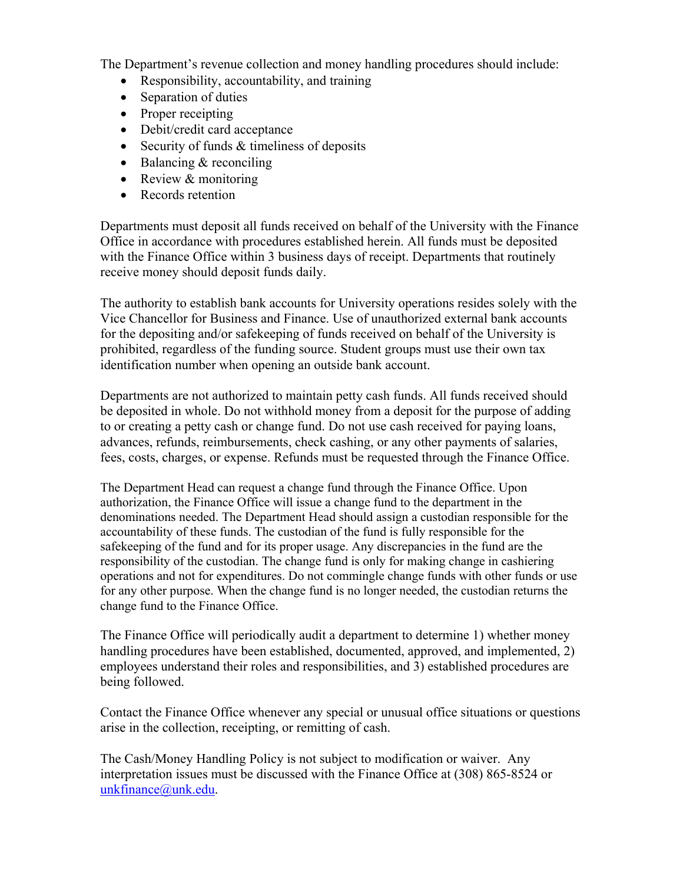The Department's revenue collection and money handling procedures should include:

- Responsibility, accountability, and training
- Separation of duties
- Proper receipting
- Debit/credit card acceptance
- Security of funds & timeliness of deposits
- Balancing & reconciling
- Review & monitoring
- Records retention

Departments must deposit all funds received on behalf of the University with the Finance Office in accordance with procedures established herein. All funds must be deposited with the Finance Office within 3 business days of receipt. Departments that routinely receive money should deposit funds daily.

The authority to establish bank accounts for University operations resides solely with the Vice Chancellor for Business and Finance. Use of unauthorized external bank accounts for the depositing and/or safekeeping of funds received on behalf of the University is prohibited, regardless of the funding source. Student groups must use their own tax identification number when opening an outside bank account.

Departments are not authorized to maintain petty cash funds. All funds received should be deposited in whole. Do not withhold money from a deposit for the purpose of adding to or creating a petty cash or change fund. Do not use cash received for paying loans, advances, refunds, reimbursements, check cashing, or any other payments of salaries, fees, costs, charges, or expense. Refunds must be requested through the Finance Office.

The Department Head can request a change fund through the Finance Office. Upon authorization, the Finance Office will issue a change fund to the department in the denominations needed. The Department Head should assign a custodian responsible for the accountability of these funds. The custodian of the fund is fully responsible for the safekeeping of the fund and for its proper usage. Any discrepancies in the fund are the responsibility of the custodian. The change fund is only for making change in cashiering operations and not for expenditures. Do not commingle change funds with other funds or use for any other purpose. When the change fund is no longer needed, the custodian returns the change fund to the Finance Office.

The Finance Office will periodically audit a department to determine 1) whether money handling procedures have been established, documented, approved, and implemented, 2) employees understand their roles and responsibilities, and 3) established procedures are being followed.

Contact the Finance Office whenever any special or unusual office situations or questions arise in the collection, receipting, or remitting of cash.

The Cash/Money Handling Policy is not subject to modification or waiver. Any interpretation issues must be discussed with the Finance Office at (308) 865-8524 or [unkfinance@unk.edu.](mailto:unkfinance@unk.edu)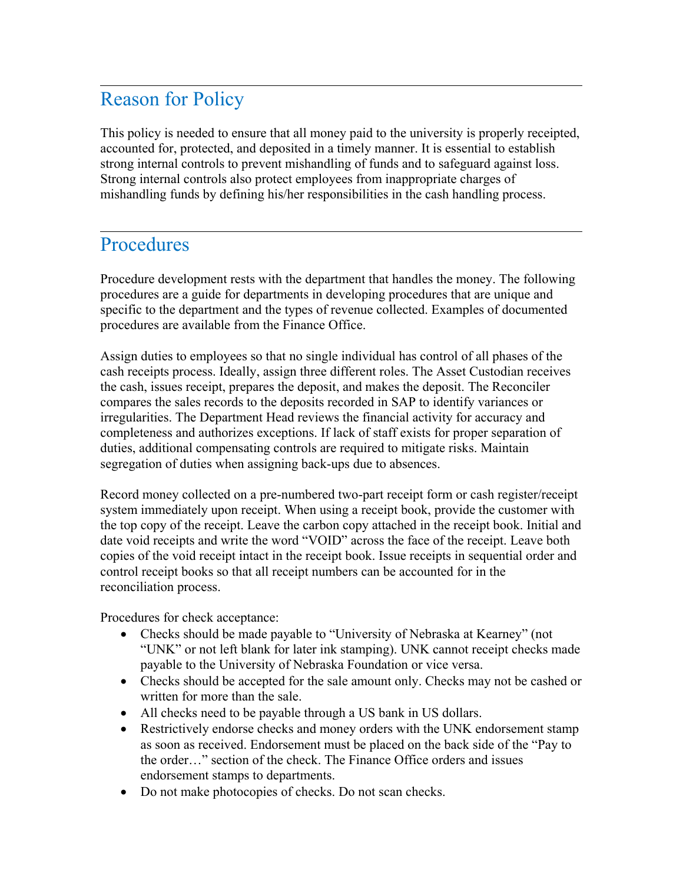## Reason for Policy

 $\overline{a}$ 

 $\overline{a}$ 

This policy is needed to ensure that all money paid to the university is properly receipted, accounted for, protected, and deposited in a timely manner. It is essential to establish strong internal controls to prevent mishandling of funds and to safeguard against loss. Strong internal controls also protect employees from inappropriate charges of mishandling funds by defining his/her responsibilities in the cash handling process.

#### **Procedures**

Procedure development rests with the department that handles the money. The following procedures are a guide for departments in developing procedures that are unique and specific to the department and the types of revenue collected. Examples of documented procedures are available from the Finance Office.

Assign duties to employees so that no single individual has control of all phases of the cash receipts process. Ideally, assign three different roles. The Asset Custodian receives the cash, issues receipt, prepares the deposit, and makes the deposit. The Reconciler compares the sales records to the deposits recorded in SAP to identify variances or irregularities. The Department Head reviews the financial activity for accuracy and completeness and authorizes exceptions. If lack of staff exists for proper separation of duties, additional compensating controls are required to mitigate risks. Maintain segregation of duties when assigning back-ups due to absences.

Record money collected on a pre-numbered two-part receipt form or cash register/receipt system immediately upon receipt. When using a receipt book, provide the customer with the top copy of the receipt. Leave the carbon copy attached in the receipt book. Initial and date void receipts and write the word "VOID" across the face of the receipt. Leave both copies of the void receipt intact in the receipt book. Issue receipts in sequential order and control receipt books so that all receipt numbers can be accounted for in the reconciliation process.

Procedures for check acceptance:

- Checks should be made payable to "University of Nebraska at Kearney" (not "UNK" or not left blank for later ink stamping). UNK cannot receipt checks made payable to the University of Nebraska Foundation or vice versa.
- Checks should be accepted for the sale amount only. Checks may not be cashed or written for more than the sale.
- All checks need to be payable through a US bank in US dollars.
- Restrictively endorse checks and money orders with the UNK endorsement stamp as soon as received. Endorsement must be placed on the back side of the "Pay to the order…" section of the check. The Finance Office orders and issues endorsement stamps to departments.
- Do not make photocopies of checks. Do not scan checks.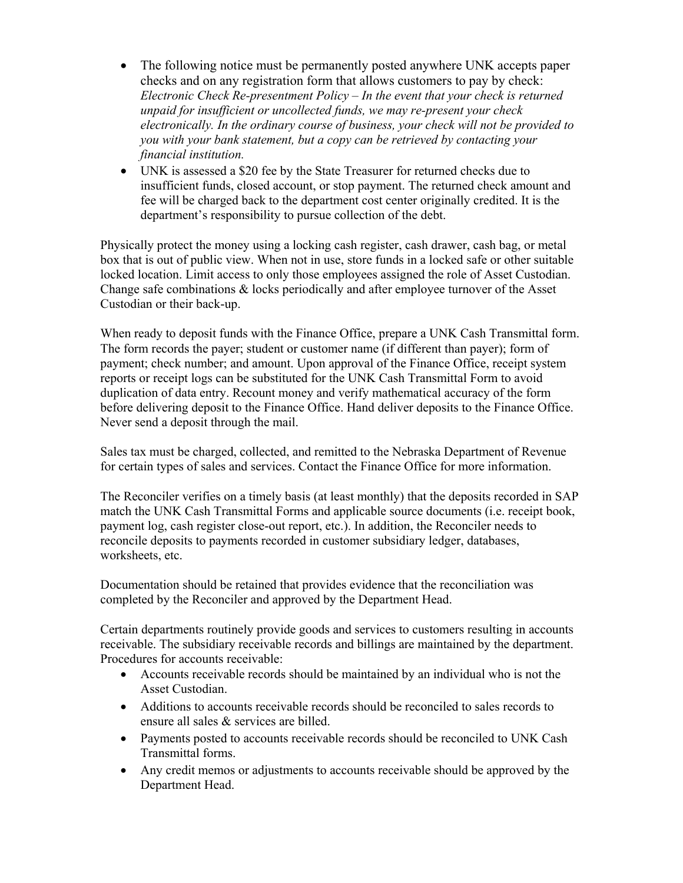- The following notice must be permanently posted anywhere UNK accepts paper checks and on any registration form that allows customers to pay by check: *Electronic Check Re-presentment Policy – In the event that your check is returned unpaid for insufficient or uncollected funds, we may re-present your check electronically. In the ordinary course of business, your check will not be provided to you with your bank statement, but a copy can be retrieved by contacting your financial institution.*
- UNK is assessed a \$20 fee by the State Treasurer for returned checks due to insufficient funds, closed account, or stop payment. The returned check amount and fee will be charged back to the department cost center originally credited. It is the department's responsibility to pursue collection of the debt.

Physically protect the money using a locking cash register, cash drawer, cash bag, or metal box that is out of public view. When not in use, store funds in a locked safe or other suitable locked location. Limit access to only those employees assigned the role of Asset Custodian. Change safe combinations & locks periodically and after employee turnover of the Asset Custodian or their back-up.

When ready to deposit funds with the Finance Office, prepare a UNK Cash Transmittal form. The form records the payer; student or customer name (if different than payer); form of payment; check number; and amount. Upon approval of the Finance Office, receipt system reports or receipt logs can be substituted for the UNK Cash Transmittal Form to avoid duplication of data entry. Recount money and verify mathematical accuracy of the form before delivering deposit to the Finance Office. Hand deliver deposits to the Finance Office. Never send a deposit through the mail.

Sales tax must be charged, collected, and remitted to the Nebraska Department of Revenue for certain types of sales and services. Contact the Finance Office for more information.

The Reconciler verifies on a timely basis (at least monthly) that the deposits recorded in SAP match the UNK Cash Transmittal Forms and applicable source documents (i.e. receipt book, payment log, cash register close-out report, etc.). In addition, the Reconciler needs to reconcile deposits to payments recorded in customer subsidiary ledger, databases, worksheets, etc.

Documentation should be retained that provides evidence that the reconciliation was completed by the Reconciler and approved by the Department Head.

Certain departments routinely provide goods and services to customers resulting in accounts receivable. The subsidiary receivable records and billings are maintained by the department. Procedures for accounts receivable:

- Accounts receivable records should be maintained by an individual who is not the Asset Custodian.
- Additions to accounts receivable records should be reconciled to sales records to ensure all sales & services are billed.
- Payments posted to accounts receivable records should be reconciled to UNK Cash Transmittal forms.
- Any credit memos or adjustments to accounts receivable should be approved by the Department Head.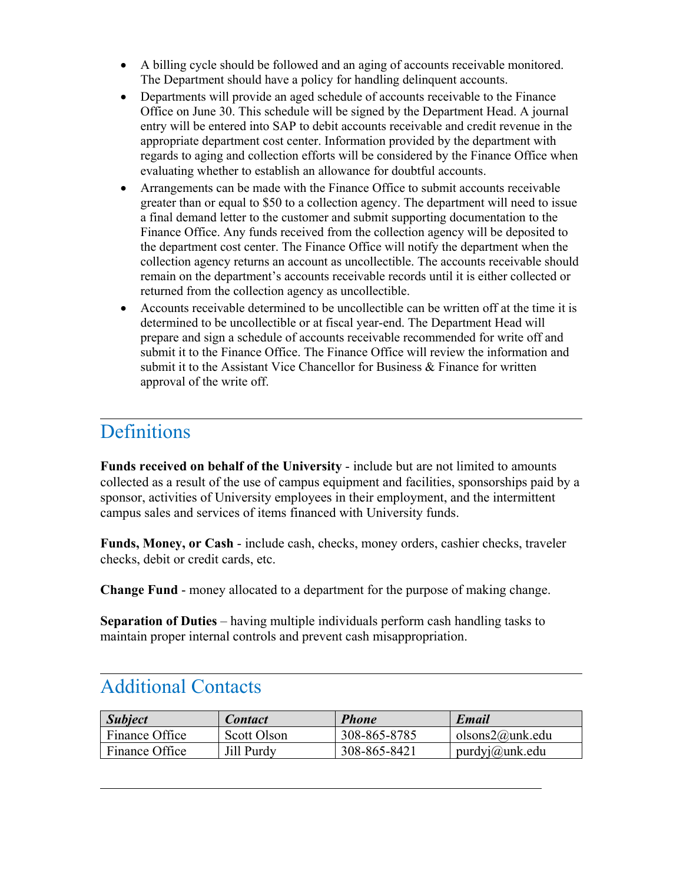- A billing cycle should be followed and an aging of accounts receivable monitored. The Department should have a policy for handling delinquent accounts.
- Departments will provide an aged schedule of accounts receivable to the Finance Office on June 30. This schedule will be signed by the Department Head. A journal entry will be entered into SAP to debit accounts receivable and credit revenue in the appropriate department cost center. Information provided by the department with regards to aging and collection efforts will be considered by the Finance Office when evaluating whether to establish an allowance for doubtful accounts.
- Arrangements can be made with the Finance Office to submit accounts receivable greater than or equal to \$50 to a collection agency. The department will need to issue a final demand letter to the customer and submit supporting documentation to the Finance Office. Any funds received from the collection agency will be deposited to the department cost center. The Finance Office will notify the department when the collection agency returns an account as uncollectible. The accounts receivable should remain on the department's accounts receivable records until it is either collected or returned from the collection agency as uncollectible.
- Accounts receivable determined to be uncollectible can be written off at the time it is determined to be uncollectible or at fiscal year-end. The Department Head will prepare and sign a schedule of accounts receivable recommended for write off and submit it to the Finance Office. The Finance Office will review the information and submit it to the Assistant Vice Chancellor for Business & Finance for written approval of the write off.

### **Definitions**

 $\overline{a}$ 

 $\overline{a}$ 

 $\overline{a}$ 

**Funds received on behalf of the University** - include but are not limited to amounts collected as a result of the use of campus equipment and facilities, sponsorships paid by a sponsor, activities of University employees in their employment, and the intermittent campus sales and services of items financed with University funds.

**Funds, Money, or Cash** - include cash, checks, money orders, cashier checks, traveler checks, debit or credit cards, etc.

**Change Fund** - money allocated to a department for the purpose of making change.

**Separation of Duties** – having multiple individuals perform cash handling tasks to maintain proper internal controls and prevent cash misappropriation.

## Additional Contacts

| <b>Subject</b> | <b>Contact</b> | Phone        | <b>Email</b>               |
|----------------|----------------|--------------|----------------------------|
| Finance Office | Scott Olson    | 308-865-8785 | olsons $2@$ unk.edu        |
| Finance Office | Jill Purdy     | 308-865-8421 | $purd$ yj $\omega$ unk.edu |